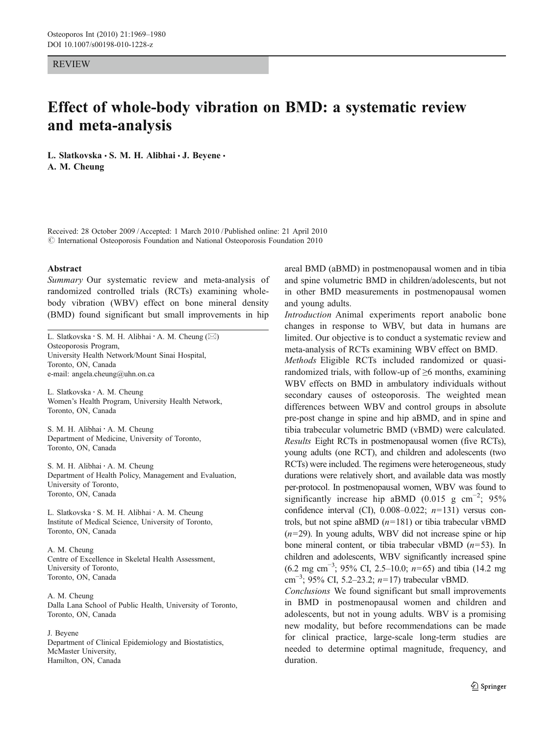#### REVIEW

# Effect of whole-body vibration on BMD: a systematic review and meta-analysis

L. Slatkovska · S. M. H. Alibhai · J. Beyene · A. M. Cheung

Received: 28 October 2009 /Accepted: 1 March 2010 / Published online: 21 April 2010 © International Osteoporosis Foundation and National Osteoporosis Foundation 2010

#### Abstract

Summary Our systematic review and meta-analysis of randomized controlled trials (RCTs) examining wholebody vibration (WBV) effect on bone mineral density (BMD) found significant but small improvements in hip

L. Slatkovska · S. M. H. Alibhai · A. M. Cheung  $(\boxtimes)$ Osteoporosis Program, University Health Network/Mount Sinai Hospital, Toronto, ON, Canada e-mail: angela.cheung@uhn.on.ca

L. Slatkovska : A. M. Cheung Women's Health Program, University Health Network, Toronto, ON, Canada

S. M. H. Alibhai : A. M. Cheung Department of Medicine, University of Toronto, Toronto, ON, Canada

S. M. H. Alibhai : A. M. Cheung Department of Health Policy, Management and Evaluation, University of Toronto, Toronto, ON, Canada

L. Slatkovska : S. M. H. Alibhai : A. M. Cheung Institute of Medical Science, University of Toronto, Toronto, ON, Canada

A. M. Cheung Centre of Excellence in Skeletal Health Assessment, University of Toronto, Toronto, ON, Canada

A. M. Cheung Dalla Lana School of Public Health, University of Toronto, Toronto, ON, Canada

#### J. Beyene

Department of Clinical Epidemiology and Biostatistics, McMaster University, Hamilton, ON, Canada

areal BMD (aBMD) in postmenopausal women and in tibia and spine volumetric BMD in children/adolescents, but not in other BMD measurements in postmenopausal women and young adults.

Introduction Animal experiments report anabolic bone changes in response to WBV, but data in humans are limited. Our objective is to conduct a systematic review and meta-analysis of RCTs examining WBV effect on BMD.

Methods Eligible RCTs included randomized or quasirandomized trials, with follow-up of  $\geq 6$  months, examining WBV effects on BMD in ambulatory individuals without secondary causes of osteoporosis. The weighted mean differences between WBV and control groups in absolute pre-post change in spine and hip aBMD, and in spine and tibia trabecular volumetric BMD (vBMD) were calculated. Results Eight RCTs in postmenopausal women (five RCTs), young adults (one RCT), and children and adolescents (two RCTs) were included. The regimens were heterogeneous, study durations were relatively short, and available data was mostly per-protocol. In postmenopausal women, WBV was found to significantly increase hip aBMD (0.015 g cm<sup>-2</sup>; 95% confidence interval (CI),  $0.008-0.022$ ;  $n=131$ ) versus controls, but not spine aBMD  $(n=181)$  or tibia trabecular vBMD  $(n=29)$ . In young adults, WBV did not increase spine or hip bone mineral content, or tibia trabecular vBMD  $(n=53)$ . In children and adolescents, WBV significantly increased spine (6.2 mg cm−<sup>3</sup> ; 95% CI, 2.5–10.0; n=65) and tibia (14.2 mg cm<sup>-3</sup>; 95% CI, 5.2–23.2; n=17) trabecular vBMD.

Conclusions We found significant but small improvements in BMD in postmenopausal women and children and adolescents, but not in young adults. WBV is a promising new modality, but before recommendations can be made for clinical practice, large-scale long-term studies are needed to determine optimal magnitude, frequency, and duration.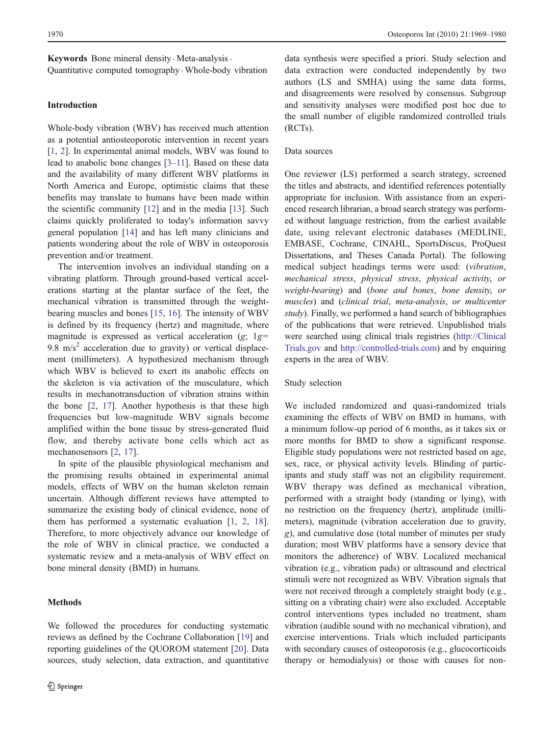Keywords Bone mineral density . Meta-analysis . Quantitative computed tomography . Whole-body vibration

# Introduction

Whole-body vibration (WBV) has received much attention as a potential antiosteoporotic intervention in recent years [\[1](#page-10-0), [2](#page-10-0)]. In experimental animal models, WBV was found to lead to anabolic bone changes [[3](#page-10-0)–[11](#page-10-0)]. Based on these data and the availability of many different WBV platforms in North America and Europe, optimistic claims that these benefits may translate to humans have been made within the scientific community [[12\]](#page-10-0) and in the media [\[13](#page-10-0)]. Such claims quickly proliferated to today's information savvy general population [[14\]](#page-10-0) and has left many clinicians and patients wondering about the role of WBV in osteoporosis prevention and/or treatment.

The intervention involves an individual standing on a vibrating platform. Through ground-based vertical accelerations starting at the plantar surface of the feet, the mechanical vibration is transmitted through the weightbearing muscles and bones [\[15](#page-10-0), [16\]](#page-10-0). The intensity of WBV is defined by its frequency (hertz) and magnitude, where magnitude is expressed as vertical acceleration (g;  $1g=$ 9.8 m/s<sup>2</sup> acceleration due to gravity) or vertical displacement (millimeters). A hypothesized mechanism through which WBV is believed to exert its anabolic effects on the skeleton is via activation of the musculature, which results in mechanotransduction of vibration strains within the bone [[2,](#page-10-0) [17](#page-10-0)]. Another hypothesis is that these high frequencies but low-magnitude WBV signals become amplified within the bone tissue by stress-generated fluid flow, and thereby activate bone cells which act as mechanosensors [\[2](#page-10-0), [17](#page-10-0)].

In spite of the plausible physiological mechanism and the promising results obtained in experimental animal models, effects of WBV on the human skeleton remain uncertain. Although different reviews have attempted to summarize the existing body of clinical evidence, none of them has performed a systematic evaluation [[1,](#page-10-0) [2,](#page-10-0) [18](#page-10-0)]. Therefore, to more objectively advance our knowledge of the role of WBV in clinical practice, we conducted a systematic review and a meta-analysis of WBV effect on bone mineral density (BMD) in humans.

# **Methods**

We followed the procedures for conducting systematic reviews as defined by the Cochrane Collaboration [[19](#page-10-0)] and reporting guidelines of the QUOROM statement [[20\]](#page-11-0). Data sources, study selection, data extraction, and quantitative

data synthesis were specified a priori. Study selection and data extraction were conducted independently by two authors (LS and SMHA) using the same data forms, and disagreements were resolved by consensus. Subgroup and sensitivity analyses were modified post hoc due to the small number of eligible randomized controlled trials (RCTs).

## Data sources

One reviewer (LS) performed a search strategy, screened the titles and abstracts, and identified references potentially appropriate for inclusion. With assistance from an experienced research librarian, a broad search strategy was performed without language restriction, from the earliest available date, using relevant electronic databases (MEDLINE, EMBASE, Cochrane, CINAHL, SportsDiscus, ProQuest Dissertations, and Theses Canada Portal). The following medical subject headings terms were used: (vibration, mechanical stress, physical stress, physical activity, or weight-bearing) and (bone and bones, bone density, or muscles) and (clinical trial, meta-analysis, or multicenter study). Finally, we performed a hand search of bibliographies of the publications that were retrieved. Unpublished trials were searched using clinical trials registries ([http://Clinical](http://ClinicalTrials.gov) [Trials.gov](http://ClinicalTrials.gov) and [http://controlled-trials.com\)](http://controlled-trials.com) and by enquiring experts in the area of WBV.

#### Study selection

We included randomized and quasi-randomized trials examining the effects of WBV on BMD in humans, with a minimum follow-up period of 6 months, as it takes six or more months for BMD to show a significant response. Eligible study populations were not restricted based on age, sex, race, or physical activity levels. Blinding of participants and study staff was not an eligibility requirement. WBV therapy was defined as mechanical vibration, performed with a straight body (standing or lying), with no restriction on the frequency (hertz), amplitude (millimeters), magnitude (vibration acceleration due to gravity, g), and cumulative dose (total number of minutes per study duration; most WBV platforms have a sensory device that monitors the adherence) of WBV. Localized mechanical vibration (e.g., vibration pads) or ultrasound and electrical stimuli were not recognized as WBV. Vibration signals that were not received through a completely straight body (e.g., sitting on a vibrating chair) were also excluded. Acceptable control interventions types included no treatment, sham vibration (audible sound with no mechanical vibration), and exercise interventions. Trials which included participants with secondary causes of osteoporosis (e.g., glucocorticoids therapy or hemodialysis) or those with causes for non-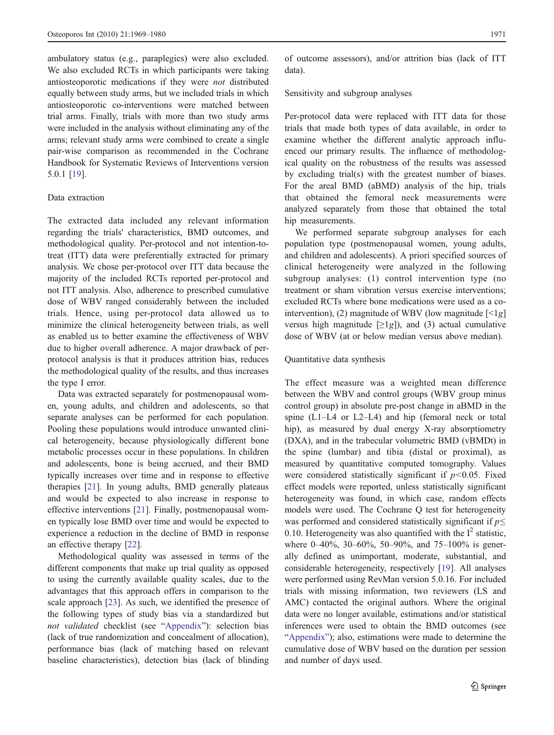ambulatory status (e.g., paraplegics) were also excluded. We also excluded RCTs in which participants were taking antiosteoporotic medications if they were not distributed equally between study arms, but we included trials in which antiosteoporotic co-interventions were matched between trial arms. Finally, trials with more than two study arms were included in the analysis without eliminating any of the arms; relevant study arms were combined to create a single pair-wise comparison as recommended in the Cochrane Handbook for Systematic Reviews of Interventions version 5.0.1 [\[19](#page-10-0)].

## Data extraction

The extracted data included any relevant information regarding the trials' characteristics, BMD outcomes, and methodological quality. Per-protocol and not intention-totreat (ITT) data were preferentially extracted for primary analysis. We chose per-protocol over ITT data because the majority of the included RCTs reported per-protocol and not ITT analysis. Also, adherence to prescribed cumulative dose of WBV ranged considerably between the included trials. Hence, using per-protocol data allowed us to minimize the clinical heterogeneity between trials, as well as enabled us to better examine the effectiveness of WBV due to higher overall adherence. A major drawback of perprotocol analysis is that it produces attrition bias, reduces the methodological quality of the results, and thus increases the type I error.

Data was extracted separately for postmenopausal women, young adults, and children and adolescents, so that separate analyses can be performed for each population. Pooling these populations would introduce unwanted clinical heterogeneity, because physiologically different bone metabolic processes occur in these populations. In children and adolescents, bone is being accrued, and their BMD typically increases over time and in response to effective therapies [[21\]](#page-11-0). In young adults, BMD generally plateaus and would be expected to also increase in response to effective interventions [[21\]](#page-11-0). Finally, postmenopausal women typically lose BMD over time and would be expected to experience a reduction in the decline of BMD in response an effective therapy [\[22](#page-11-0)].

Methodological quality was assessed in terms of the different components that make up trial quality as opposed to using the currently available quality scales, due to the advantages that this approach offers in comparison to the scale approach [\[23](#page-11-0)]. As such, we identified the presence of the following types of study bias via a standardized but not validated checklist (see "[Appendix](#page-9-0)"): selection bias (lack of true randomization and concealment of allocation), performance bias (lack of matching based on relevant baseline characteristics), detection bias (lack of blinding

of outcome assessors), and/or attrition bias (lack of ITT data).

Sensitivity and subgroup analyses

Per-protocol data were replaced with ITT data for those trials that made both types of data available, in order to examine whether the different analytic approach influenced our primary results. The influence of methodological quality on the robustness of the results was assessed by excluding trial(s) with the greatest number of biases. For the areal BMD (aBMD) analysis of the hip, trials that obtained the femoral neck measurements were analyzed separately from those that obtained the total hip measurements.

We performed separate subgroup analyses for each population type (postmenopausal women, young adults, and children and adolescents). A priori specified sources of clinical heterogeneity were analyzed in the following subgroup analyses: (1) control intervention type (no treatment or sham vibration versus exercise interventions; excluded RCTs where bone medications were used as a cointervention), (2) magnitude of WBV (low magnitude  $\lceil \leq 1g \rceil$ versus high magnitude  $[\geq 1g]$ , and (3) actual cumulative dose of WBV (at or below median versus above median).

#### Quantitative data synthesis

The effect measure was a weighted mean difference between the WBV and control groups (WBV group minus control group) in absolute pre-post change in aBMD in the spine (L1–L4 or L2–L4) and hip (femoral neck or total hip), as measured by dual energy X-ray absorptiometry (DXA), and in the trabecular volumetric BMD (vBMDt) in the spine (lumbar) and tibia (distal or proximal), as measured by quantitative computed tomography. Values were considered statistically significant if  $p<0.05$ . Fixed effect models were reported, unless statistically significant heterogeneity was found, in which case, random effects models were used. The Cochrane Q test for heterogeneity was performed and considered statistically significant if  $p \leq$ 0.10. Heterogeneity was also quantified with the  $I^2$  statistic, where 0–40%, 30–60%, 50–90%, and 75–100% is generally defined as unimportant, moderate, substantial, and considerable heterogeneity, respectively [[19](#page-10-0)]. All analyses were performed using RevMan version 5.0.16. For included trials with missing information, two reviewers (LS and AMC) contacted the original authors. Where the original data were no longer available, estimations and/or statistical inferences were used to obtain the BMD outcomes (see "[Appendix](#page-9-0)"); also, estimations were made to determine the cumulative dose of WBV based on the duration per session and number of days used.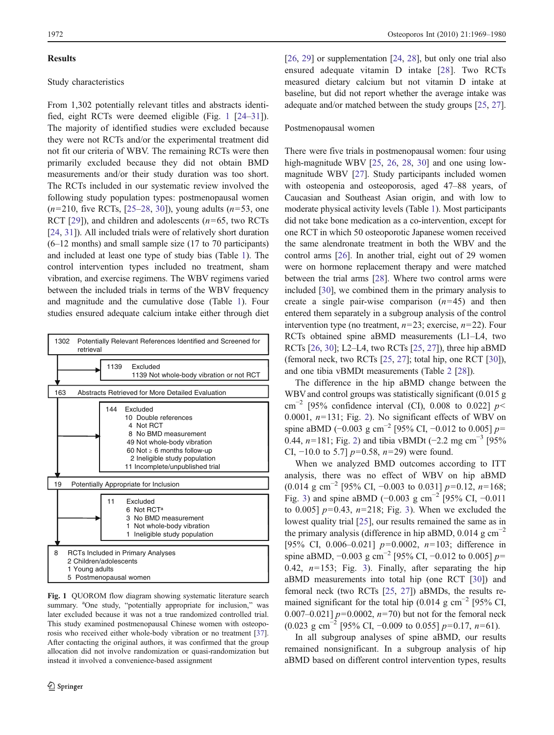## Results

### Study characteristics

From 1,302 potentially relevant titles and abstracts identified, eight RCTs were deemed eligible (Fig. 1 [\[24](#page-11-0)–[31](#page-11-0)]). The majority of identified studies were excluded because they were not RCTs and/or the experimental treatment did not fit our criteria of WBV. The remaining RCTs were then primarily excluded because they did not obtain BMD measurements and/or their study duration was too short. The RCTs included in our systematic review involved the following study population types: postmenopausal women  $(n=210, \text{ five RCTs}, [25-28, 30])$  $(n=210, \text{ five RCTs}, [25-28, 30])$  $(n=210, \text{ five RCTs}, [25-28, 30])$  $(n=210, \text{ five RCTs}, [25-28, 30])$  $(n=210, \text{ five RCTs}, [25-28, 30])$  $(n=210, \text{ five RCTs}, [25-28, 30])$  $(n=210, \text{ five RCTs}, [25-28, 30])$ , young adults  $(n=53, \text{ one})$ RCT [[29\]](#page-11-0)), and children and adolescents  $(n=65, \text{ two RCTs})$ [\[24](#page-11-0), [31](#page-11-0)]). All included trials were of relatively short duration (6–12 months) and small sample size (17 to 70 participants) and included at least one type of study bias (Table [1\)](#page-4-0). The control intervention types included no treatment, sham vibration, and exercise regimens. The WBV regimens varied between the included trials in terms of the WBV frequency and magnitude and the cumulative dose (Table [1\)](#page-4-0). Four studies ensured adequate calcium intake either through diet



Fig. 1 QUOROM flow diagram showing systematic literature search summary. <sup>a</sup>One study, "potentially appropriate for inclusion," was later excluded because it was not a true randomized controlled trial. This study examined postmenopausal Chinese women with osteoporosis who received either whole-body vibration or no treatment [[37](#page-11-0)]. After contacting the original authors, it was confirmed that the group allocation did not involve randomization or quasi-randomization but instead it involved a convenience-based assignment

[\[26](#page-11-0), [29\]](#page-11-0) or supplementation [[24](#page-11-0), [28\]](#page-11-0), but only one trial also ensured adequate vitamin D intake [[28](#page-11-0)]. Two RCTs measured dietary calcium but not vitamin D intake at baseline, but did not report whether the average intake was adequate and/or matched between the study groups [[25](#page-11-0), [27\]](#page-11-0).

### Postmenopausal women

There were five trials in postmenopausal women: four using high-magnitude WBV [\[25](#page-11-0), [26](#page-11-0), [28](#page-11-0), [30](#page-11-0)] and one using lowmagnitude WBV [[27\]](#page-11-0). Study participants included women with osteopenia and osteoporosis, aged 47–88 years, of Caucasian and Southeast Asian origin, and with low to moderate physical activity levels (Table [1](#page-4-0)). Most participants did not take bone medication as a co-intervention, except for one RCT in which 50 osteoporotic Japanese women received the same alendronate treatment in both the WBV and the control arms [\[26](#page-11-0)]. In another trial, eight out of 29 women were on hormone replacement therapy and were matched between the trial arms [\[28](#page-11-0)]. Where two control arms were included [[30\]](#page-11-0), we combined them in the primary analysis to create a single pair-wise comparison  $(n=45)$  and then entered them separately in a subgroup analysis of the control intervention type (no treatment,  $n=23$ ; exercise,  $n=22$ ). Four RCTs obtained spine aBMD measurements (L1–L4, two RCTs [\[26](#page-11-0), [30\]](#page-11-0); L2–L4, two RCTs [\[25](#page-11-0), [27](#page-11-0)]), three hip aBMD (femoral neck, two RCTs [[25,](#page-11-0) [27\]](#page-11-0); total hip, one RCT [[30](#page-11-0)]), and one tibia vBMDt measurements (Table [2](#page-5-0) [\[28](#page-11-0)]).

The difference in the hip aBMD change between the WBV and control groups was statistically significant (0.015 g cm<sup>-2</sup> [95% confidence interval (CI), 0.008 to 0.022]  $p$  < 0.0001,  $n=131$ ; Fig. [2](#page-6-0)). No significant effects of WBV on spine aBMD (−0.003 g cm<sup>-2</sup> [95% CI, −0.012 to 0.005]  $p=$ 0.44,  $n=181$ ; Fig. [2](#page-6-0)) and tibia vBMDt (-2.2 mg cm<sup>-3</sup> [95% CI,  $-10.0$  to 5.7]  $p=0.58$ ,  $n=29$ ) were found.

When we analyzed BMD outcomes according to ITT analysis, there was no effect of WBV on hip aBMD (0.014 g cm<sup>-2</sup> [95% CI, -0.003 to 0.031]  $p=0.12$ ,  $n=168$ ; Fig. [3](#page-7-0)) and spine aBMD (−0.003 g cm<sup>-2</sup> [95% CI, −0.011] to 0.005]  $p=0.43$ ,  $n=218$ ; Fig. [3\)](#page-7-0). When we excluded the lowest quality trial [\[25](#page-11-0)], our results remained the same as in the primary analysis (difference in hip aBMD,  $0.014$  g cm<sup>-2</sup> [95% CI, 0.006–0.021]  $p=0.0002$ ,  $n=103$ ; difference in spine aBMD,  $-0.003$  g cm<sup>-2</sup> [95% CI,  $-0.012$  to 0.005] p= 0.42,  $n=153$  $n=153$ ; Fig. 3). Finally, after separating the hip aBMD measurements into total hip (one RCT [\[30](#page-11-0)]) and femoral neck (two RCTs [\[25](#page-11-0), [27\]](#page-11-0)) aBMDs, the results remained significant for the total hip (0.014 g cm<sup>-2</sup> [95% CI, 0.007–0.021]  $p=0.0002$ ,  $n=70$ ) but not for the femoral neck (0.023 g cm<sup>-2</sup> [95% CI, -0.009 to 0.055]  $p=0.17$ ,  $n=61$ ).

In all subgroup analyses of spine aBMD, our results remained nonsignificant. In a subgroup analysis of hip aBMD based on different control intervention types, results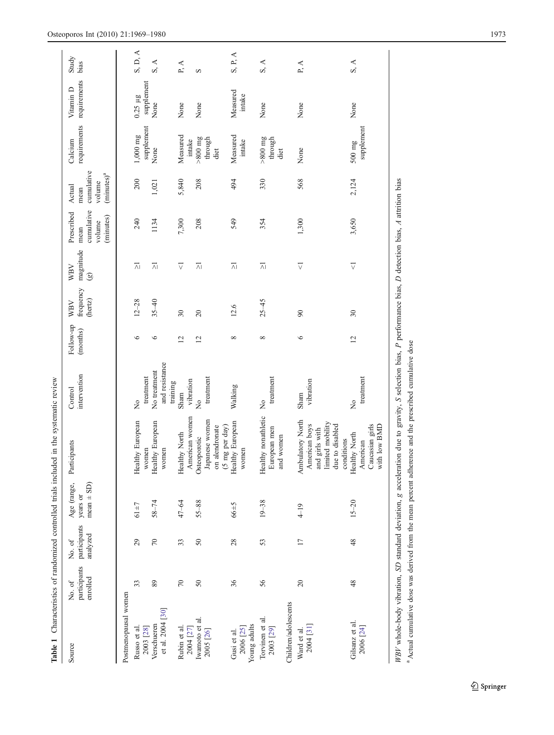<span id="page-4-0"></span>

|                                                  |                                    |                                    |                                          | Table 1 Characteristics of randomized controlled trials included in the systematic review                                                                                                                                                                                      |                                            |                       |                             |                                    |                                                         |                                                         |                               |                            |               |
|--------------------------------------------------|------------------------------------|------------------------------------|------------------------------------------|--------------------------------------------------------------------------------------------------------------------------------------------------------------------------------------------------------------------------------------------------------------------------------|--------------------------------------------|-----------------------|-----------------------------|------------------------------------|---------------------------------------------------------|---------------------------------------------------------|-------------------------------|----------------------------|---------------|
| Source                                           | participants<br>enrolled<br>No. of | participants<br>analyzed<br>No. of | $mean \pm SD$<br>Age (range,<br>years or | ticipants<br>Part                                                                                                                                                                                                                                                              | intervention<br>Control                    | Follow-up<br>(months) | frequency<br>(hertz)<br>WBV | magnitude<br><b>WBV</b><br>$\odot$ | cumulative<br>Prescribed<br>(minutes)<br>volume<br>mean | cumulative<br>$(minutes)^a$<br>volume<br>Actual<br>mean | requirements<br>Calcium       | requirements<br>Vitamin D  | Study<br>bias |
| Postmenopausal women                             |                                    |                                    |                                          |                                                                                                                                                                                                                                                                                |                                            |                       |                             |                                    |                                                         |                                                         |                               |                            |               |
| Russo et al.<br>2003 [28]                        | 33                                 | 29                                 | $61 + 7$                                 | Healthy European<br>women                                                                                                                                                                                                                                                      | treatment<br>$\frac{1}{2}$                 | $\circ$               | $12 - 28$                   | 지                                  | 240                                                     | 200                                                     | supplement<br>$1,000$ mg      | supplement<br>$0.25~\mu g$ | S, D, A       |
| et al. 2004 [30]<br>Verschueren                  | 89                                 | $\approx$                          | $58 - 74$                                | Healthy European<br>women                                                                                                                                                                                                                                                      | and resistance<br>No treatment<br>training | $\circ$               | $35 - 40$                   | $\overline{\wedge}$                | 1134                                                    | 1,021                                                   | None                          | None                       | S, A          |
| Rubin et al.<br>2004 [27]                        | 70                                 | 33                                 | 47-64                                    | American women<br>Healthy North                                                                                                                                                                                                                                                | vibration<br>Sham                          | 12                    | 30                          | $\triangledown$                    | 7,300                                                   | 5,840                                                   | Measured<br>intake            | None                       | P, A          |
| Iwamoto et al.<br>2005 [26]                      | $50\,$                             | $50\,$                             | $55 - 88$                                | Japanese women<br>on alendronate<br>(5 mg per day)<br>Osteoporotic                                                                                                                                                                                                             | treatment<br>$\frac{1}{2}$                 | 12                    | 20                          | $\overline{\wedge}$                | 208                                                     | 208                                                     | $> 800$ mg<br>through<br>diet | None                       | S             |
| Young adults<br>2006 [25]<br>Gusi et al.         | 36                                 | 28                                 | $66 \pm 5$                               | Healthy European<br>women                                                                                                                                                                                                                                                      | Walking                                    | ${}^{\circ}$          | 12.6                        | $\overline{\wedge}$                | 549                                                     | 494                                                     | Measured<br>intake            | Measured<br>intake         | S, P, A       |
| Torvinen et al.<br>2003 [29]                     | 56                                 | 53                                 | $19 - 38$                                | Healthy nonathletic<br>European men<br>and women                                                                                                                                                                                                                               | treatment<br>$\mathsf{R}^{\circ}$          | ${}^{\circ}$          | $25 - 45$                   | $\overline{\wedge}$                | 354                                                     | 330                                                     | $>800$ mg<br>through<br>diet  | None                       | S, A          |
| Children/adolescents<br>2004 [31]<br>Ward et al. | 20                                 | $\overline{17}$                    | $4 - 19$                                 | Ambulatory North<br>and girls with<br>limited mobility<br>due to disabled<br>American boys                                                                                                                                                                                     | vibration<br>Sham                          | $\circ$               | $\infty$                    | $\triangledown$                    | 1,300                                                   | 568                                                     | None                          | None                       | P, $A$        |
| Gilsanz et al.<br>2006 [24]                      | 48                                 | $\frac{8}{3}$                      | $15 - 20$                                | Caucasian girls<br>with low BMD<br>Healthy North<br>conditions<br>American                                                                                                                                                                                                     | treatment<br>$\frac{1}{2}$                 | 12                    | 30                          | $\overline{\vee}$                  | 3,650                                                   | 2,124                                                   | supplement<br>500 mg          | None                       | S, A          |
|                                                  |                                    |                                    |                                          | WBV whole-body vibration, SD standard deviation, g acceleration due to gravity, S selection bias, P performance bias, D detection bias, A attrition bias<br><sup>a</sup> Actual cumulative dose was derived from the mean percent adherence and the prescribed cumulative dose |                                            |                       |                             |                                    |                                                         |                                                         |                               |                            |               |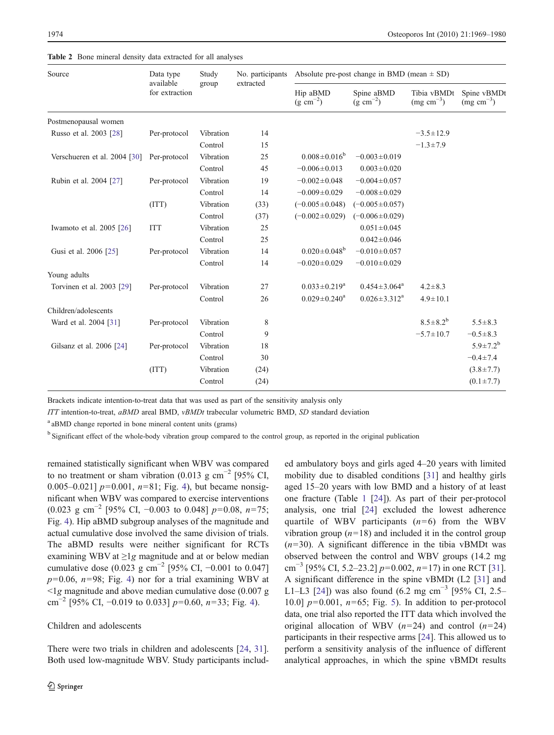<span id="page-5-0"></span>Table 2 Bone mineral density data extracted for all analyses

| Source                       | Data type                   | Study     | No. participants | Absolute pre-post change in BMD (mean $\pm$ SD) |                             |                                      |                               |  |  |  |
|------------------------------|-----------------------------|-----------|------------------|-------------------------------------------------|-----------------------------|--------------------------------------|-------------------------------|--|--|--|
|                              | available<br>for extraction | group     | extracted        | Hip aBMD<br>$(g \text{ cm}^{-2})$               | Spine aBMD<br>$(g cm^{-2})$ | Tibia vBMDt<br>$\text{(mg cm}^{-3})$ | Spine vBMDt<br>$(mg cm^{-3})$ |  |  |  |
| Postmenopausal women         |                             |           |                  |                                                 |                             |                                      |                               |  |  |  |
| Russo et al. 2003 [28]       | Per-protocol                | Vibration | 14               |                                                 |                             | $-3.5 \pm 12.9$                      |                               |  |  |  |
|                              |                             | Control   | 15               |                                                 |                             | $-1.3 \pm 7.9$                       |                               |  |  |  |
| Verschueren et al. 2004 [30] | Per-protocol                | Vibration | 25               | $0.008 \pm 0.016^b$                             | $-0.003 \pm 0.019$          |                                      |                               |  |  |  |
|                              |                             | Control   | 45               | $-0.006 \pm 0.013$                              | $0.003 \pm 0.020$           |                                      |                               |  |  |  |
| Rubin et al. 2004 [27]       | Per-protocol                | Vibration | 19               | $-0.002 \pm 0.048$                              | $-0.004 \pm 0.057$          |                                      |                               |  |  |  |
|                              |                             | Control   | 14               | $-0.009 \pm 0.029$                              | $-0.008 \pm 0.029$          |                                      |                               |  |  |  |
|                              | (TTT)                       | Vibration | (33)             | $(-0.005 \pm 0.048)$                            | $(-0.005 \pm 0.057)$        |                                      |                               |  |  |  |
|                              |                             | Control   | (37)             | $(-0.002 \pm 0.029)$                            | $(-0.006 \pm 0.029)$        |                                      |                               |  |  |  |
| Iwamoto et al. $2005$ [26]   | <b>ITT</b>                  | Vibration | 25               |                                                 | $0.051 \pm 0.045$           |                                      |                               |  |  |  |
|                              |                             | Control   | 25               |                                                 | $0.042 \pm 0.046$           |                                      |                               |  |  |  |
| Gusi et al. 2006 [25]        | Per-protocol                | Vibration | 14               | $0.020 \pm 0.048^b$                             | $-0.010 \pm 0.057$          |                                      |                               |  |  |  |
|                              |                             | Control   | 14               | $-0.020 \pm 0.029$                              | $-0.010\pm0.029$            |                                      |                               |  |  |  |
| Young adults                 |                             |           |                  |                                                 |                             |                                      |                               |  |  |  |
| Torvinen et al. 2003 [29]    | Per-protocol                | Vibration | 27               | $0.033 \pm 0.219^a$                             | $0.454 \pm 3.064^a$         | $4.2 \pm 8.3$                        |                               |  |  |  |
|                              |                             | Control   | 26               | $0.029 \pm 0.240^a$                             | $0.026 \pm 3.312^a$         | $4.9 \pm 10.1$                       |                               |  |  |  |
| Children/adolescents         |                             |           |                  |                                                 |                             |                                      |                               |  |  |  |
| Ward et al. 2004 [31]        | Per-protocol                | Vibration | 8                |                                                 |                             | $8.5 \pm 8.2^b$                      | $5.5 \pm 8.3$                 |  |  |  |
|                              |                             | Control   | 9                |                                                 |                             | $-5.7 \pm 10.7$                      | $-0.5 \pm 8.3$                |  |  |  |
| Gilsanz et al. 2006 [24]     | Per-protocol                | Vibration | 18               |                                                 |                             |                                      | $5.9 \pm 7.2^b$               |  |  |  |
|                              |                             | Control   | 30               |                                                 |                             |                                      | $-0.4 \pm 7.4$                |  |  |  |
|                              | (ITT)                       | Vibration | (24)             |                                                 |                             |                                      | $(3.8 \pm 7.7)$               |  |  |  |
|                              |                             | Control   | (24)             |                                                 |                             |                                      | $(0.1 \pm 7.7)$               |  |  |  |

Brackets indicate intention-to-treat data that was used as part of the sensitivity analysis only

ITT intention-to-treat,  $aBMD$  areal BMD,  $vBMD$  trabecular volumetric BMD, SD standard deviation

a aBMD change reported in bone mineral content units (grams)

<sup>b</sup> Significant effect of the whole-body vibration group compared to the control group, as reported in the original publication

remained statistically significant when WBV was compared to no treatment or sham vibration (0.013 g cm<sup>-2</sup> [95% CI, 0.005–0.021]  $p=0.001$ ,  $n=81$ ; Fig. [4\)](#page-8-0), but became nonsignificant when WBV was compared to exercise interventions (0.023 g cm<sup>-2</sup> [95% CI, -0.003 to 0.048]  $p=0.08$ ,  $n=75$ ; Fig. [4](#page-8-0)). Hip aBMD subgroup analyses of the magnitude and actual cumulative dose involved the same division of trials. The aBMD results were neither significant for RCTs examining WBV at  $\geq$ 1g magnitude and at or below median cumulative dose (0.023 g cm<sup>-2</sup> [95% CI, -0.001 to 0.047]  $p=0.06$ ,  $n=98$ ; Fig. [4](#page-8-0)) nor for a trial examining WBV at  $\leq$ 1g magnitude and above median cumulative dose (0.007 g cm<sup>-2</sup> [95% CI, -0.019 to 0.033]  $p=0.60$ ,  $n=33$ ; Fig. [4\)](#page-8-0).

## Children and adolescents

There were two trials in children and adolescents [[24,](#page-11-0) [31](#page-11-0)]. Both used low-magnitude WBV. Study participants included ambulatory boys and girls aged 4–20 years with limited mobility due to disabled conditions [\[31](#page-11-0)] and healthy girls aged 15–20 years with low BMD and a history of at least one fracture (Table [1](#page-4-0) [[24\]](#page-11-0)). As part of their per-protocol analysis, one trial [\[24](#page-11-0)] excluded the lowest adherence quartile of WBV participants  $(n=6)$  from the WBV vibration group  $(n=18)$  and included it in the control group  $(n=30)$ . A significant difference in the tibia vBMDt was observed between the control and WBV groups (14.2 mg cm<sup>-3</sup> [95% CI, 5.2–23.2]  $p=0.002$ ,  $n=17$ ) in one RCT [[31\]](#page-11-0). A significant difference in the spine vBMDt (L2 [[31\]](#page-11-0) and L1–L3 [\[24](#page-11-0)]) was also found (6.2 mg cm<sup>-3</sup> [95% CI, 2.5– 10.0]  $p=0.001$ ,  $n=65$ ; Fig. [5\)](#page-8-0). In addition to per-protocol data, one trial also reported the ITT data which involved the original allocation of WBV  $(n=24)$  and control  $(n=24)$ participants in their respective arms [[24\]](#page-11-0). This allowed us to perform a sensitivity analysis of the influence of different analytical approaches, in which the spine vBMDt results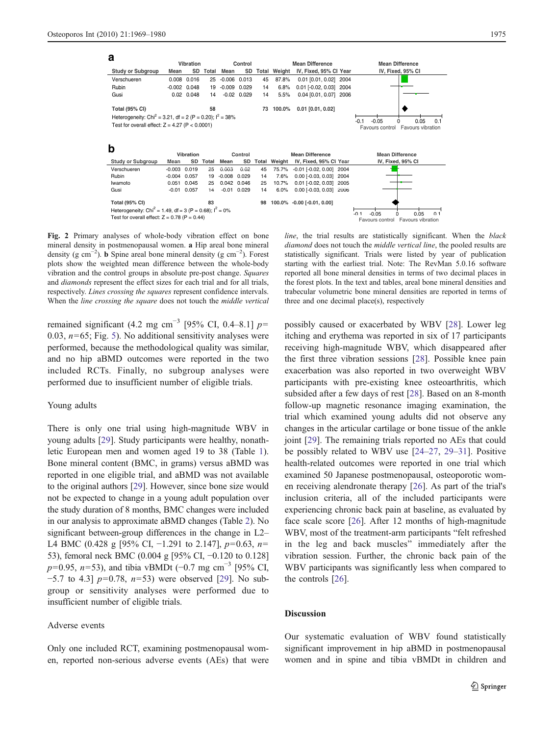<span id="page-6-0"></span>

Fig. 2 Primary analyses of whole-body vibration effect on bone mineral density in postmenopausal women. a Hip areal bone mineral density (g cm<sup>-2</sup>). **b** Spine areal bone mineral density (g cm<sup>-2</sup>). Forest plots show the weighted mean difference between the whole-body vibration and the control groups in absolute pre-post change. Squares and diamonds represent the effect sizes for each trial and for all trials, respectively. Lines crossing the squares represent confidence intervals. When the *line crossing the square* does not touch the *middle vertical* 

remained significant (4.2 mg cm<sup>-3</sup> [95% CI, 0.4–8.1]  $p=$ 0.03,  $n=65$ ; Fig. [5\)](#page-8-0). No additional sensitivity analyses were performed, because the methodological quality was similar, and no hip aBMD outcomes were reported in the two included RCTs. Finally, no subgroup analyses were performed due to insufficient number of eligible trials.

## Young adults

There is only one trial using high-magnitude WBV in young adults [[29\]](#page-11-0). Study participants were healthy, nonathletic European men and women aged 19 to 38 (Table [1](#page-4-0)). Bone mineral content (BMC, in grams) versus aBMD was reported in one eligible trial, and aBMD was not available to the original authors [\[29](#page-11-0)]. However, since bone size would not be expected to change in a young adult population over the study duration of 8 months, BMC changes were included in our analysis to approximate aBMD changes (Table [2\)](#page-5-0). No significant between-group differences in the change in L2– L4 BMC (0.428 g [95% CI, -1.291 to 2.147],  $p=0.63$ ,  $n=$ 53), femoral neck BMC (0.004 g [95% CI, −0.120 to 0.128]  $p=0.95$ , n=53), and tibia vBMDt (−0.7 mg cm<sup>-3</sup> [95% CI,  $-5.7$  to 4.3]  $p=0.78$ ,  $n=53$ ) were observed [\[29\]](#page-11-0). No subgroup or sensitivity analyses were performed due to insufficient number of eligible trials.

### Adverse events

Only one included RCT, examining postmenopausal women, reported non-serious adverse events (AEs) that were

line, the trial results are statistically significant. When the black diamond does not touch the middle vertical line, the pooled results are statistically significant. Trials were listed by year of publication starting with the earliest trial. Note: The RevMan 5.0.16 software reported all bone mineral densities in terms of two decimal places in the forest plots. In the text and tables, areal bone mineral densities and trabecular volumetric bone mineral densities are reported in terms of three and one decimal place(s), respectively

possibly caused or exacerbated by WBV [[28](#page-11-0)]. Lower leg itching and erythema was reported in six of 17 participants receiving high-magnitude WBV, which disappeared after the first three vibration sessions [[28\]](#page-11-0). Possible knee pain exacerbation was also reported in two overweight WBV participants with pre-existing knee osteoarthritis, which subsided after a few days of rest [[28\]](#page-11-0). Based on an 8-month follow-up magnetic resonance imaging examination, the trial which examined young adults did not observe any changes in the articular cartilage or bone tissue of the ankle joint [[29\]](#page-11-0). The remaining trials reported no AEs that could be possibly related to WBV use [\[24](#page-11-0)–[27](#page-11-0), [29](#page-11-0)–[31\]](#page-11-0). Positive health-related outcomes were reported in one trial which examined 50 Japanese postmenopausal, osteoporotic women receiving alendronate therapy [\[26](#page-11-0)]. As part of the trial's inclusion criteria, all of the included participants were experiencing chronic back pain at baseline, as evaluated by face scale score [[26\]](#page-11-0). After 12 months of high-magnitude WBV, most of the treatment-arm participants "felt refreshed in the leg and back muscles" immediately after the vibration session. Further, the chronic back pain of the WBV participants was significantly less when compared to the controls [[26\]](#page-11-0).

### Discussion

Our systematic evaluation of WBV found statistically significant improvement in hip aBMD in postmenopausal women and in spine and tibia vBMDt in children and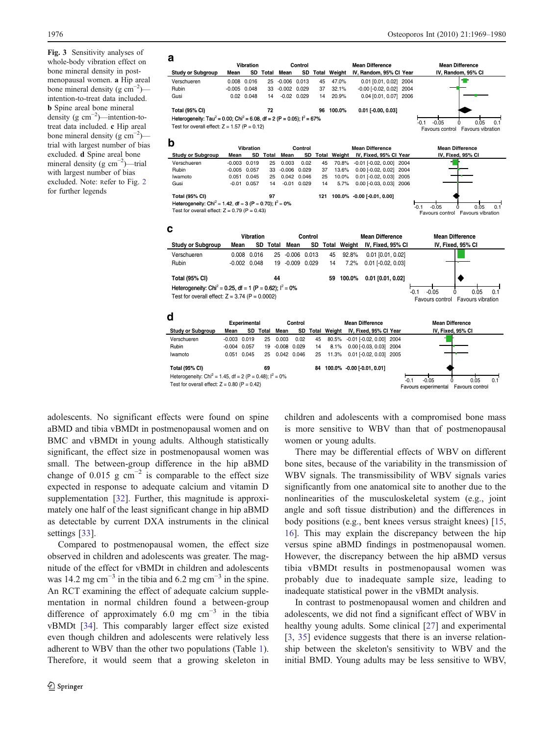<span id="page-7-0"></span>Fig. 3 Sensitivity analyses of whole-body vibration effect on bone mineral density in postmenopausal women. a Hip areal bone mineral density  $(g \text{ cm}^{-2})$  intention-to-treat data included. b Spine areal bone mineral density (g cm−<sup>2</sup> )—intention-totreat data included. c Hip areal bone mineral density  $(g \text{ cm}^{-2})$  trial with largest number of bias excluded. d Spine areal bone mineral density (g cm<sup>-2</sup>)—trial with largest number of bias excluded. Note: Refer to Fig. [2](#page-6-0) for further legends

**a**

|                                                                                                 |                  | Vibration           |          |                  | Control          |          |                 |        | <b>Mean Difference</b>         | <b>Mean Difference</b>            |
|-------------------------------------------------------------------------------------------------|------------------|---------------------|----------|------------------|------------------|----------|-----------------|--------|--------------------------------|-----------------------------------|
| <b>Study or Subgroup</b>                                                                        | Mean             | SD Total            |          | Mean             |                  |          | SD Total Weight |        | IV, Random, 95% Cl Year        | IV, Random, 95% CI                |
| Verschueren                                                                                     | 0.008 0.016      |                     | 25       | $-0.006$ $0.013$ |                  | 45       | 47.0%           |        | 0.01 [0.01, 0.02] 2004         |                                   |
| Rubin                                                                                           | $-0.005$ $0.048$ |                     | 33       | $-0.002$ $0.029$ |                  | 37       | 32.1%           |        | $-0.00$ [ $-0.02$ , 0.02] 2004 |                                   |
| Gusi                                                                                            |                  | $0.02$ $0.048$      | 14       |                  | $-0.02$ $0.029$  | 14       | 20.9%           |        | 0.04 [0.01, 0.07] 2006         |                                   |
| <b>Total (95% CI)</b>                                                                           |                  |                     | 72       |                  |                  |          | 96 100.0%       |        | $0.01$ [-0.00, 0.03]           |                                   |
| Heterogeneity: Tau <sup>2</sup> = 0.00; Chi <sup>2</sup> = 6.08, df = 2 (P = 0.05); $I^2$ = 67% |                  |                     |          |                  |                  |          |                 |        |                                | $-0.05$<br>0.05<br>$-0.1$         |
| Test for overall effect: $Z = 1.57$ (P = 0.12)                                                  |                  |                     |          |                  |                  |          |                 |        |                                | Favours control Favours vibration |
| b                                                                                               |                  |                     |          |                  |                  |          |                 |        |                                |                                   |
|                                                                                                 |                  | Vibration           |          |                  | Control          |          |                 |        | <b>Mean Difference</b>         | <b>Mean Difference</b>            |
| <b>Study or Subgroup</b>                                                                        | Mean             |                     | SD Total | Mean             |                  | SD Total | Weight          |        | IV, Fixed, 95% CI Year         | IV, Fixed, 95% Cl                 |
| Verschueren                                                                                     |                  | $-0.003$ $0.019$    | 25       | 0.003            | 0.02             | 45       | 70.8%           |        | $-0.01$ $[-0.02, 0.00]$ 2004   |                                   |
| <b>Rubin</b>                                                                                    |                  | $-0.005$ 0.057      |          | 33 -0.006 0.029  |                  | 37       | 13.6%           |        | 0.00 [-0.02, 0.02] 2004        |                                   |
| Iwamoto                                                                                         |                  | 0.051 0.045         | 25       |                  | 0.042 0.046      | 25       | 10.0%           |        | 0.01 [-0.02, 0.03] 2005        |                                   |
| Gusi                                                                                            |                  | $-0.01$ $0.057$     | 14       |                  | $-0.01$ $0.029$  | 14       | 5.7%            |        | 0.00 [-0.03, 0.03] 2006        |                                   |
| <b>Total (95% CI)</b>                                                                           |                  |                     | 97       |                  |                  |          |                 |        | 121 100.0% -0.00 [-0.01, 0.00] |                                   |
| Heterogeneity: Chi <sup>2</sup> = 1.42, df = 3 (P = 0.70); $I^2 = 0\%$                          |                  |                     |          |                  |                  |          |                 |        |                                | $-0.05$<br>0.05<br>-0.1           |
|                                                                                                 |                  |                     |          |                  |                  |          |                 |        |                                |                                   |
| C                                                                                               |                  | Vibration           |          |                  | Control          |          |                 |        | <b>Mean Difference</b>         | <b>Mean Difference</b>            |
| <b>Study or Subgroup</b>                                                                        | Mean             |                     | SD Total | Mean             |                  |          | SD Total Weight |        | IV, Fixed, 95% CI              | IV, Fixed, 95% CI                 |
| Verschueren                                                                                     |                  | 0.008 0.016         |          | 25 -0.006 0.013  |                  |          | 45              | 92.8%  | 0.01 [0.01, 0.02]              |                                   |
| Rubin                                                                                           |                  | $-0.002$ $0.048$    |          | 19               | $-0.009$ $0.029$ |          | 14              | 7.2%   | $0.01$ [-0.02, 0.03]           |                                   |
| <b>Total (95% CI)</b>                                                                           |                  |                     | 44       |                  |                  |          | 59              | 100.0% | $0.01$ [0.01, 0.02]            |                                   |
|                                                                                                 |                  |                     |          |                  |                  |          |                 |        |                                |                                   |
| Heterogeneity: Chi <sup>2</sup> = 0.25, df = 1 (P = 0.62); $I^2 = 0\%$                          |                  |                     |          |                  |                  |          |                 |        |                                | $-0.05$<br>$-0.1$<br>0.05<br>n    |
| Test for overall effect: $Z = 3.74$ (P = 0.0002)                                                |                  |                     |          |                  |                  |          |                 |        |                                |                                   |
|                                                                                                 |                  |                     |          |                  |                  |          |                 |        |                                |                                   |
| d                                                                                               |                  | <b>Experimental</b> |          |                  | Control          |          |                 |        | <b>Mean Difference</b>         | <b>Mean Difference</b>            |
|                                                                                                 | Mean             | SD Total            |          | Mean             |                  |          | SD Total Weight |        | IV, Fixed, 95% CI Year         | IV, Fixed, 95% Cl                 |
| <b>Study or Subgroup</b><br>Verschueren                                                         | $-0.003$ $0.019$ |                     | 25       | 0.003            | 0.02             | 45       |                 |        | 80.5% -0.01 [-0.02, 0.00] 2004 |                                   |
| Rubin                                                                                           | $-0.004$ 0.057   |                     | 19       | $-0.008$ 0.029   |                  | 14       | 8.1%            |        | 0.00 [-0.03, 0.03] 2004        |                                   |
| Iwamoto                                                                                         | 0.051 0.045      |                     | 25       | 0.042 0.046      |                  | 25       | 11.3%           |        | 0.01 [-0.02, 0.03] 2005        | Favours control Favours vibration |
| <b>Total (95% CI)</b>                                                                           |                  |                     | 69       |                  |                  |          |                 |        | 84 100.0% -0.00 [-0.01, 0.01]  |                                   |

adolescents. No significant effects were found on spine aBMD and tibia vBMDt in postmenopausal women and on BMC and vBMDt in young adults. Although statistically significant, the effect size in postmenopausal women was small. The between-group difference in the hip aBMD change of 0.015 g  $cm^{-2}$  is comparable to the effect size expected in response to adequate calcium and vitamin D supplementation [[32\]](#page-11-0). Further, this magnitude is approximately one half of the least significant change in hip aBMD as detectable by current DXA instruments in the clinical settings [[33\]](#page-11-0).

Compared to postmenopausal women, the effect size observed in children and adolescents was greater. The magnitude of the effect for vBMDt in children and adolescents was 14.2 mg cm<sup>-3</sup> in the tibia and 6.2 mg cm<sup>-3</sup> in the spine. An RCT examining the effect of adequate calcium supplementation in normal children found a between-group difference of approximately 6.0 mg  $cm^{-3}$  in the tibia vBMDt [[34\]](#page-11-0). This comparably larger effect size existed even though children and adolescents were relatively less adherent to WBV than the other two populations (Table [1](#page-4-0)). Therefore, it would seem that a growing skeleton in children and adolescents with a compromised bone mass is more sensitive to WBV than that of postmenopausal women or young adults.

Favours experimental Favours control

There may be differential effects of WBV on different bone sites, because of the variability in the transmission of WBV signals. The transmissibility of WBV signals varies significantly from one anatomical site to another due to the nonlinearities of the musculoskeletal system (e.g., joint angle and soft tissue distribution) and the differences in body positions (e.g., bent knees versus straight knees) [[15,](#page-10-0) [16](#page-10-0)]. This may explain the discrepancy between the hip versus spine aBMD findings in postmenopausal women. However, the discrepancy between the hip aBMD versus tibia vBMDt results in postmenopausal women was probably due to inadequate sample size, leading to inadequate statistical power in the vBMDt analysis.

In contrast to postmenopausal women and children and adolescents, we did not find a significant effect of WBV in healthy young adults. Some clinical [\[27](#page-11-0)] and experimental [\[3](#page-10-0), [35\]](#page-11-0) evidence suggests that there is an inverse relationship between the skeleton's sensitivity to WBV and the initial BMD. Young adults may be less sensitive to WBV,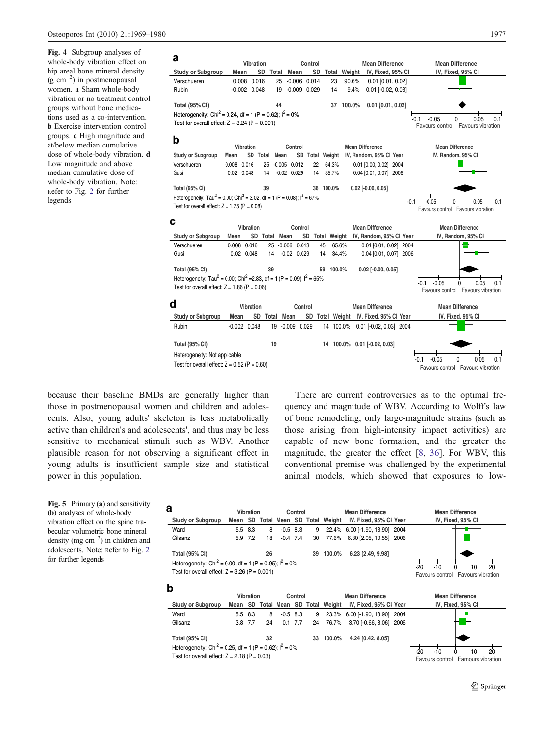<span id="page-8-0"></span>Fig. 4 Subgroup analyses of whole-body vibration effect on hip areal bone mineral density (g cm−<sup>2</sup> ) in postmenopausal women. a Sham whole-body vibration or no treatment control groups without bone medications used as a co-intervention. b Exercise intervention control groups. c High magnitude and at/below median cumulative dose of whole-body vibration. d Low magnitude and above median cumulative dose of whole-body vibration. Note: Refer to Fig. [2](#page-6-0) for further legends



because their baseline BMDs are generally higher than those in postmenopausal women and children and adolescents. Also, young adults' skeleton is less metabolically active than children's and adolescents', and thus may be less sensitive to mechanical stimuli such as WBV. Another plausible reason for not observing a significant effect in young adults is insufficient sample size and statistical power in this population.

There are current controversies as to the optimal frequency and magnitude of WBV. According to Wolff's law of bone remodeling, only large-magnitude strains (such as those arising from high-intensity impact activities) are capable of new bone formation, and the greater the magnitude, the greater the effect [\[8](#page-10-0), [36](#page-11-0)]. For WBV, this conventional premise was challenged by the experimental animal models, which showed that exposures to low-

Fig. 5 Primary (a) and sensitivity (b) analyses of whole-body vibration effect on the spine trabecular volumetric bone mineral density (mg cm<sup>-3</sup>) in children and adolescents. Note: Refer to Fig. [2](#page-6-0) for further legends



Favours control Famours vibration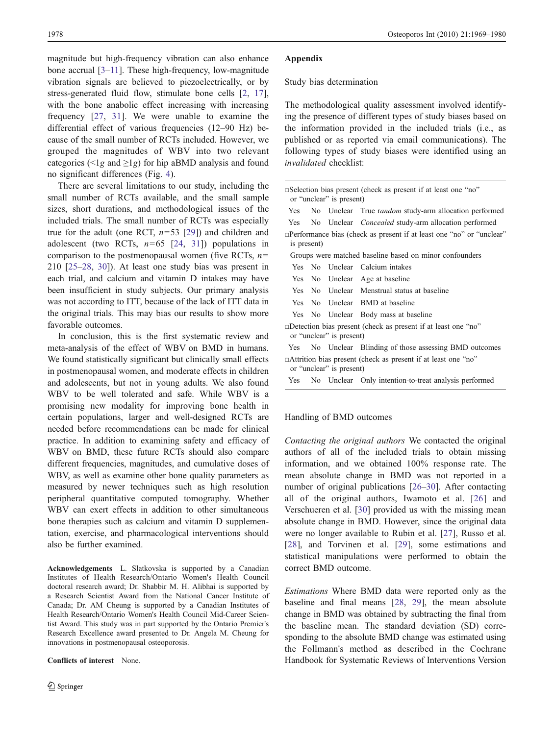<span id="page-9-0"></span>magnitude but high-frequency vibration can also enhance bone accrual [\[3](#page-10-0)–[11](#page-10-0)]. These high-frequency, low-magnitude vibration signals are believed to piezoelectrically, or by stress-generated fluid flow, stimulate bone cells [[2,](#page-10-0) [17](#page-10-0)], with the bone anabolic effect increasing with increasing frequency [\[27](#page-11-0), [31\]](#page-11-0). We were unable to examine the differential effect of various frequencies (12–90 Hz) because of the small number of RCTs included. However, we grouped the magnitudes of WBV into two relevant categories (<1g and  $\geq$ 1g) for hip aBMD analysis and found no significant differences (Fig. [4](#page-8-0)).

There are several limitations to our study, including the small number of RCTs available, and the small sample sizes, short durations, and methodological issues of the included trials. The small number of RCTs was especially true for the adult (one RCT,  $n=53$  [\[29](#page-11-0)]) and children and adolescent (two RCTs,  $n=65$  [[24](#page-11-0), [31\]](#page-11-0)) populations in comparison to the postmenopausal women (five RCTs,  $n=$ 210 [\[25](#page-11-0)–[28](#page-11-0), [30](#page-11-0)]). At least one study bias was present in each trial, and calcium and vitamin D intakes may have been insufficient in study subjects. Our primary analysis was not according to ITT, because of the lack of ITT data in the original trials. This may bias our results to show more favorable outcomes.

In conclusion, this is the first systematic review and meta-analysis of the effect of WBV on BMD in humans. We found statistically significant but clinically small effects in postmenopausal women, and moderate effects in children and adolescents, but not in young adults. We also found WBV to be well tolerated and safe. While WBV is a promising new modality for improving bone health in certain populations, larger and well-designed RCTs are needed before recommendations can be made for clinical practice. In addition to examining safety and efficacy of WBV on BMD, these future RCTs should also compare different frequencies, magnitudes, and cumulative doses of WBV, as well as examine other bone quality parameters as measured by newer techniques such as high resolution peripheral quantitative computed tomography. Whether WBV can exert effects in addition to other simultaneous bone therapies such as calcium and vitamin D supplementation, exercise, and pharmacological interventions should also be further examined.

Acknowledgements L. Slatkovska is supported by a Canadian Institutes of Health Research/Ontario Women's Health Council doctoral research award; Dr. Shabbir M. H. Alibhai is supported by a Research Scientist Award from the National Cancer Institute of Canada; Dr. AM Cheung is supported by a Canadian Institutes of Health Research/Ontario Women's Health Council Mid-Career Scientist Award. This study was in part supported by the Ontario Premier's Research Excellence award presented to Dr. Angela M. Cheung for innovations in postmenopausal osteoporosis.

Conflicts of interest None.

## Appendix

Study bias determination

The methodological quality assessment involved identifying the presence of different types of study biases based on the information provided in the included trials (i.e., as published or as reported via email communications). The following types of study biases were identified using an invalidated checklist:

| $\square$ Selection bias present (check as present if at least one "no"<br>or "unclear" is present) |  |                          |                                                                      |  |  |  |  |  |
|-----------------------------------------------------------------------------------------------------|--|--------------------------|----------------------------------------------------------------------|--|--|--|--|--|
| Yes                                                                                                 |  |                          | No Unclear True random study-arm allocation performed                |  |  |  |  |  |
|                                                                                                     |  |                          | Yes No Unclear <i>Concealed</i> study-arm allocation performed       |  |  |  |  |  |
| □Performance bias (check as present if at least one "no" or "unclear"<br>is present)                |  |                          |                                                                      |  |  |  |  |  |
| Groups were matched baseline based on minor confounders                                             |  |                          |                                                                      |  |  |  |  |  |
|                                                                                                     |  |                          | Yes No Unclear Calcium intakes                                       |  |  |  |  |  |
|                                                                                                     |  |                          | Yes No Unclear Age at baseline                                       |  |  |  |  |  |
|                                                                                                     |  |                          | Yes No Unclear Menstrual status at baseline                          |  |  |  |  |  |
|                                                                                                     |  |                          | Yes No Unclear BMD at baseline                                       |  |  |  |  |  |
|                                                                                                     |  |                          | Yes No Unclear Body mass at baseline                                 |  |  |  |  |  |
| $\Box$ Detection bias present (check as present if at least one "no"<br>or "unclear" is present)    |  |                          |                                                                      |  |  |  |  |  |
|                                                                                                     |  |                          | Yes No Unclear Blinding of those assessing BMD outcomes              |  |  |  |  |  |
|                                                                                                     |  | or "unclear" is present) | $\Box$ Attrition bias present (check as present if at least one "no" |  |  |  |  |  |
| Yes                                                                                                 |  |                          | No Unclear Only intention-to-treat analysis performed                |  |  |  |  |  |

#### Handling of BMD outcomes

Contacting the original authors We contacted the original authors of all of the included trials to obtain missing information, and we obtained 100% response rate. The mean absolute change in BMD was not reported in a number of original publications [\[26](#page-11-0)–[30](#page-11-0)]. After contacting all of the original authors, Iwamoto et al. [[26\]](#page-11-0) and Verschueren et al. [[30\]](#page-11-0) provided us with the missing mean absolute change in BMD. However, since the original data were no longer available to Rubin et al. [[27\]](#page-11-0), Russo et al. [\[28\]](#page-11-0), and Torvinen et al. [[29](#page-11-0)], some estimations and statistical manipulations were performed to obtain the correct BMD outcome.

Estimations Where BMD data were reported only as the baseline and final means [\[28](#page-11-0), [29](#page-11-0)], the mean absolute change in BMD was obtained by subtracting the final from the baseline mean. The standard deviation (SD) corresponding to the absolute BMD change was estimated using the Follmann's method as described in the Cochrane Handbook for Systematic Reviews of Interventions Version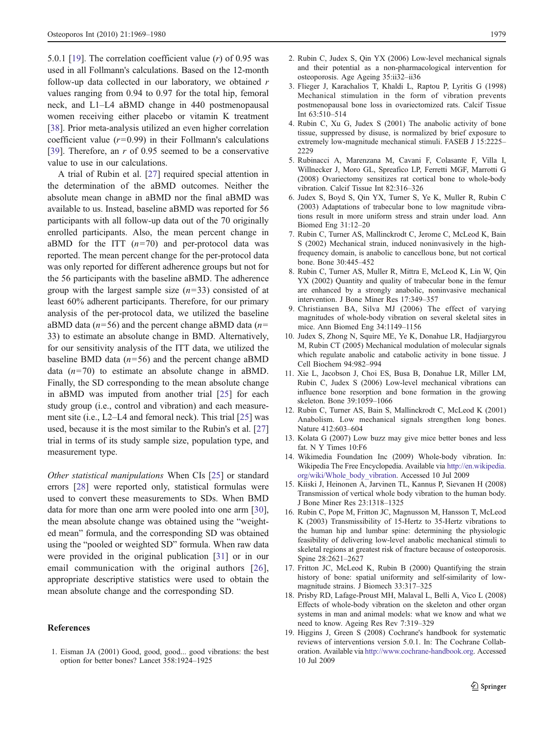<span id="page-10-0"></span>5.0.1 [19]. The correlation coefficient value  $(r)$  of 0.95 was used in all Follmann's calculations. Based on the 12-month follow-up data collected in our laboratory, we obtained  $r$ values ranging from 0.94 to 0.97 for the total hip, femoral neck, and L1–L4 aBMD change in 440 postmenopausal women receiving either placebo or vitamin K treatment [\[38](#page-11-0)]. Prior meta-analysis utilized an even higher correlation coefficient value  $(r=0.99)$  in their Follmann's calculations [\[39](#page-11-0)]. Therefore, an  $r$  of 0.95 seemed to be a conservative value to use in our calculations.

A trial of Rubin et al. [\[27](#page-11-0)] required special attention in the determination of the aBMD outcomes. Neither the absolute mean change in aBMD nor the final aBMD was available to us. Instead, baseline aBMD was reported for 56 participants with all follow-up data out of the 70 originally enrolled participants. Also, the mean percent change in aBMD for the ITT  $(n=70)$  and per-protocol data was reported. The mean percent change for the per-protocol data was only reported for different adherence groups but not for the 56 participants with the baseline aBMD. The adherence group with the largest sample size  $(n=33)$  consisted of at least 60% adherent participants. Therefore, for our primary analysis of the per-protocol data, we utilized the baseline aBMD data ( $n=56$ ) and the percent change aBMD data ( $n=$ 33) to estimate an absolute change in BMD. Alternatively, for our sensitivity analysis of the ITT data, we utilized the baseline BMD data  $(n=56)$  and the percent change aBMD data  $(n=70)$  to estimate an absolute change in aBMD. Finally, the SD corresponding to the mean absolute change in aBMD was imputed from another trial [\[25](#page-11-0)] for each study group (i.e., control and vibration) and each measurement site (i.e., L2–L4 and femoral neck). This trial [[25\]](#page-11-0) was used, because it is the most similar to the Rubin's et al. [[27\]](#page-11-0) trial in terms of its study sample size, population type, and measurement type.

Other statistical manipulations When CIs [\[25](#page-11-0)] or standard errors [\[28](#page-11-0)] were reported only, statistical formulas were used to convert these measurements to SDs. When BMD data for more than one arm were pooled into one arm [\[30](#page-11-0)], the mean absolute change was obtained using the "weighted mean" formula, and the corresponding SD was obtained using the "pooled or weighted SD" formula. When raw data were provided in the original publication [\[31](#page-11-0)] or in our email communication with the original authors [[26](#page-11-0)], appropriate descriptive statistics were used to obtain the mean absolute change and the corresponding SD.

## References

1. Eisman JA (2001) Good, good, good... good vibrations: the best option for better bones? Lancet 358:1924–1925

- 2. Rubin C, Judex S, Qin YX (2006) Low-level mechanical signals and their potential as a non-pharmacological intervention for osteoporosis. Age Ageing 35:ii32–ii36
- 3. Flieger J, Karachalios T, Khaldi L, Raptou P, Lyritis G (1998) Mechanical stimulation in the form of vibration prevents postmenopausal bone loss in ovariectomized rats. Calcif Tissue Int 63:510–514
- 4. Rubin C, Xu G, Judex S (2001) The anabolic activity of bone tissue, suppressed by disuse, is normalized by brief exposure to extremely low-magnitude mechanical stimuli. FASEB J 15:2225– 2229
- 5. Rubinacci A, Marenzana M, Cavani F, Colasante F, Villa I, Willnecker J, Moro GL, Spreafico LP, Ferretti MGF, Marrotti G (2008) Ovariectomy sensitizes rat cortical bone to whole-body vibration. Calcif Tissue Int 82:316–326
- 6. Judex S, Boyd S, Qin YX, Turner S, Ye K, Muller R, Rubin C (2003) Adaptations of trabecular bone to low magnitude vibrations result in more uniform stress and strain under load. Ann Biomed Eng 31:12–20
- 7. Rubin C, Turner AS, Mallinckrodt C, Jerome C, McLeod K, Bain S (2002) Mechanical strain, induced noninvasively in the highfrequency domain, is anabolic to cancellous bone, but not cortical bone. Bone 30:445–452
- 8. Rubin C, Turner AS, Muller R, Mittra E, McLeod K, Lin W, Qin YX (2002) Quantity and quality of trabecular bone in the femur are enhanced by a strongly anabolic, noninvasive mechanical intervention. J Bone Miner Res 17:349–357
- 9. Christiansen BA, Silva MJ (2006) The effect of varying magnitudes of whole-body vibration on several skeletal sites in mice. Ann Biomed Eng 34:1149–1156
- 10. Judex S, Zhong N, Squire ME, Ye K, Donahue LR, Hadjiargyrou M, Rubin CT (2005) Mechanical modulation of molecular signals which regulate anabolic and catabolic activity in bone tissue. J Cell Biochem 94:982–994
- 11. Xie L, Jacobson J, Choi ES, Busa B, Donahue LR, Miller LM, Rubin C, Judex S (2006) Low-level mechanical vibrations can influence bone resorption and bone formation in the growing skeleton. Bone 39:1059–1066
- 12. Rubin C, Turner AS, Bain S, Mallinckrodt C, McLeod K (2001) Anabolism. Low mechanical signals strengthen long bones. Nature 412:603–604
- 13. Kolata G (2007) Low buzz may give mice better bones and less fat. N Y Times 10:F6
- 14. Wikimedia Foundation Inc (2009) Whole-body vibration. In: Wikipedia The Free Encyclopedia. Available via [http://en.wikipedia.](http://en.wikipedia.org/wiki/Whole_body_vibration) [org/wiki/Whole\\_body\\_vibration](http://en.wikipedia.org/wiki/Whole_body_vibration). Accessed 10 Jul 2009
- 15. Kiiski J, Heinonen A, Jarvinen TL, Kannus P, Sievanen H (2008) Transmission of vertical whole body vibration to the human body. J Bone Miner Res 23:1318–1325
- 16. Rubin C, Pope M, Fritton JC, Magnusson M, Hansson T, McLeod K (2003) Transmissibility of 15-Hertz to 35-Hertz vibrations to the human hip and lumbar spine: determining the physiologic feasibility of delivering low-level anabolic mechanical stimuli to skeletal regions at greatest risk of fracture because of osteoporosis. Spine 28:2621–2627
- 17. Fritton JC, McLeod K, Rubin B (2000) Quantifying the strain history of bone: spatial uniformity and self-similarity of lowmagnitude strains. J Biomech 33:317–325
- 18. Prisby RD, Lafage-Proust MH, Malaval L, Belli A, Vico L (2008) Effects of whole-body vibration on the skeleton and other organ systems in man and animal models: what we know and what we need to know. Ageing Res Rev 7:319–329
- 19. Higgins J, Green S (2008) Cochrane's handbook for systematic reviews of interventions version 5.0.1. In: The Cochrane Collaboration. Available via [http://www.cochrane-handbook.org.](http://www.cochrane-handbook.org) Accessed 10 Jul 2009